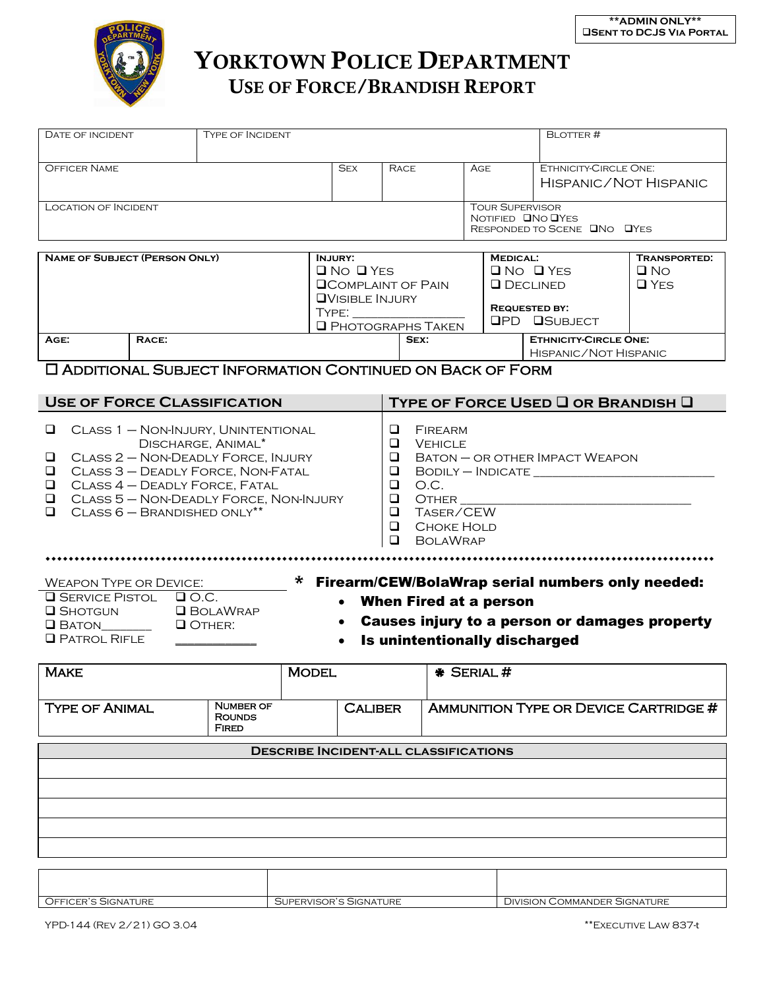

## YORKTOWN POLICE DEPARTMENT USE OF FORCE/BRANDISH REPORT

| DATE OF INCIDENT<br>Type of Incident                                                                                                                                                                                                                                                                                     |  |              |                                                                                                                                              |                                                                                                                                                                                                                                                   |                                    |                                                                                   |                                                                                                             | <b>BLOTTER#</b>                                                                |                                                |  |
|--------------------------------------------------------------------------------------------------------------------------------------------------------------------------------------------------------------------------------------------------------------------------------------------------------------------------|--|--------------|----------------------------------------------------------------------------------------------------------------------------------------------|---------------------------------------------------------------------------------------------------------------------------------------------------------------------------------------------------------------------------------------------------|------------------------------------|-----------------------------------------------------------------------------------|-------------------------------------------------------------------------------------------------------------|--------------------------------------------------------------------------------|------------------------------------------------|--|
| <b>OFFICER NAME</b>                                                                                                                                                                                                                                                                                                      |  |              | <b>SEX</b>                                                                                                                                   | <b>RACE</b>                                                                                                                                                                                                                                       |                                    | AGE                                                                               |                                                                                                             |                                                                                | ETHNICITY-CIRCLE ONE:<br>HISPANIC/NOT HISPANIC |  |
| <b>LOCATION OF INCIDENT</b>                                                                                                                                                                                                                                                                                              |  |              |                                                                                                                                              |                                                                                                                                                                                                                                                   |                                    | <b>TOUR SUPERVISOR</b><br>NOTIFIED <b>ONO OYES</b><br>RESPONDED TO SCENE ONO OYES |                                                                                                             |                                                                                |                                                |  |
| <b>NAME OF SUBJECT (PERSON ONLY)</b><br>RACE:<br>AGE:                                                                                                                                                                                                                                                                    |  |              | <b>INJURY:</b><br>$\Box$ No $\Box$ YES<br><b>QCOMPLAINT OF PAIN</b><br><b>QVISIBLE INJURY</b><br>TYPE:<br><b>Q</b> PHOTOGRAPHS TAKEN<br>SEX: |                                                                                                                                                                                                                                                   |                                    |                                                                                   | <b>MEDICAL:</b><br>$\Box$ No $\Box$ Yes<br><b>Q</b> DECLINED<br><b>REQUESTED BY:</b><br><b>OPD OSUBJECT</b> | <b>TRANSPORTED:</b><br>$\Box$ No<br>$\Box$ YES<br><b>ETHNICITY-CIRCLE ONE:</b> |                                                |  |
| <b>C ADDITIONAL SUBJECT INFORMATION CONTINUED ON BACK OF FORM</b>                                                                                                                                                                                                                                                        |  |              |                                                                                                                                              |                                                                                                                                                                                                                                                   |                                    |                                                                                   |                                                                                                             | HISPANIC/NOT HISPANIC                                                          |                                                |  |
|                                                                                                                                                                                                                                                                                                                          |  |              |                                                                                                                                              |                                                                                                                                                                                                                                                   |                                    |                                                                                   |                                                                                                             |                                                                                |                                                |  |
| <b>USE OF FORCE CLASSIFICATION</b>                                                                                                                                                                                                                                                                                       |  |              |                                                                                                                                              |                                                                                                                                                                                                                                                   | TYPE OF FORCE USED I OR BRANDISH I |                                                                                   |                                                                                                             |                                                                                |                                                |  |
| CLASS 1 - NON-INJURY, UNINTENTIONAL<br>⊔<br>DISCHARGE, ANIMAL*<br>CLASS 2 - NON-DEADLY FORCE, INJURY<br>❏<br>CLASS 3 - DEADLY FORCE, NON-FATAL<br>❏<br>CLASS 4 - DEADLY FORCE, FATAL<br>❏<br>CLASS 5 - NON-DEADLY FORCE, NON-INJURY<br>❏<br>$CLASS 6 - BRANDISHED ONLY**$<br>◻                                           |  |              |                                                                                                                                              | ❏<br>FIREARM<br>$\Box$<br><b>VEHICLE</b><br>$B$ aton $-$ or other Impact Weapon<br>❏<br>$\Box$<br>$BODILY - INDICATE$<br>$\Box$<br>O.C.<br><b>OTHER</b><br>$\Box$<br>TASER/CEW<br>$\Box$<br>$\Box$<br>Choke Hold<br>$\Box$<br><b>BOLAWRAP</b><br> |                                    |                                                                                   |                                                                                                             |                                                                                |                                                |  |
| <b>WEAPON TYPE OR DEVICE:</b>                                                                                                                                                                                                                                                                                            |  |              |                                                                                                                                              |                                                                                                                                                                                                                                                   |                                    |                                                                                   |                                                                                                             |                                                                                |                                                |  |
| * Firearm/CEW/BolaWrap serial numbers only needed:<br><b>Q</b> SERVICE PISTOL<br>$\Box$ O.C.<br>When Fired at a person<br><b>Q</b> SHOTGUN<br><b>Q</b> BOLAWRAP<br>Causes injury to a person or damages property<br>$\bullet$<br>OTHER:<br>$\Box$ Baton_______<br><b>Q</b> PATROL RIFLE<br>Is unintentionally discharged |  |              |                                                                                                                                              |                                                                                                                                                                                                                                                   |                                    |                                                                                   |                                                                                                             |                                                                                |                                                |  |
| <b>MAKE</b>                                                                                                                                                                                                                                                                                                              |  | <b>MODEL</b> |                                                                                                                                              |                                                                                                                                                                                                                                                   | * SERIAL#                          |                                                                                   |                                                                                                             |                                                                                |                                                |  |
| <b>NUMBER OF</b><br><b>TYPE OF ANIMAL</b><br><b>ROUNDS</b><br><b>FIRED</b>                                                                                                                                                                                                                                               |  |              | <b>CALIBER</b>                                                                                                                               |                                                                                                                                                                                                                                                   |                                    |                                                                                   |                                                                                                             | <b>AMMUNITION TYPE OR DEVICE CARTRIDGE #</b>                                   |                                                |  |
| <b>DESCRIBE INCIDENT-ALL CLASSIFICATIONS</b>                                                                                                                                                                                                                                                                             |  |              |                                                                                                                                              |                                                                                                                                                                                                                                                   |                                    |                                                                                   |                                                                                                             |                                                                                |                                                |  |
|                                                                                                                                                                                                                                                                                                                          |  |              |                                                                                                                                              |                                                                                                                                                                                                                                                   |                                    |                                                                                   |                                                                                                             |                                                                                |                                                |  |
|                                                                                                                                                                                                                                                                                                                          |  |              |                                                                                                                                              |                                                                                                                                                                                                                                                   |                                    |                                                                                   |                                                                                                             |                                                                                |                                                |  |
|                                                                                                                                                                                                                                                                                                                          |  |              |                                                                                                                                              |                                                                                                                                                                                                                                                   |                                    |                                                                                   |                                                                                                             |                                                                                |                                                |  |
|                                                                                                                                                                                                                                                                                                                          |  |              |                                                                                                                                              |                                                                                                                                                                                                                                                   |                                    |                                                                                   |                                                                                                             |                                                                                |                                                |  |
|                                                                                                                                                                                                                                                                                                                          |  |              |                                                                                                                                              |                                                                                                                                                                                                                                                   |                                    |                                                                                   |                                                                                                             |                                                                                |                                                |  |

| TURE<br>$Q$ FFIC<br>SIGNA <sup>-</sup><br>- ⊷ | 'I IRE<br>"SOR"<br><b>SIGNATURE</b><br>FRVIS(<br>IPI<br>. | ATURE<br>. JIVISION (<br>ommane<br>ΞR<br>SIGNAT |
|-----------------------------------------------|-----------------------------------------------------------|-------------------------------------------------|
|                                               |                                                           |                                                 |